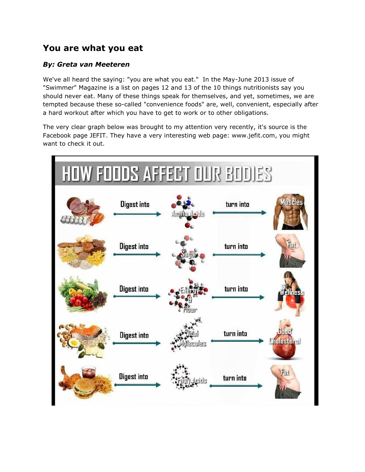## **You are what you eat**

## *By: Greta van Meeteren*

We've all heard the saying: "you are what you eat." In the May-June 2013 issue of "Swimmer" Magazine is a list on pages 12 and 13 of the 10 things nutritionists say you should never eat. Many of these things speak for themselves, and yet, sometimes, we are tempted because these so-called "convenience foods" are, well, convenient, especially after a hard workout after which you have to get to work or to other obligations.

The very clear graph below was brought to my attention very recently, it's source is the Facebook page JEFIT. They have a very interesting web page: www.jefit.com, you might want to check it out.